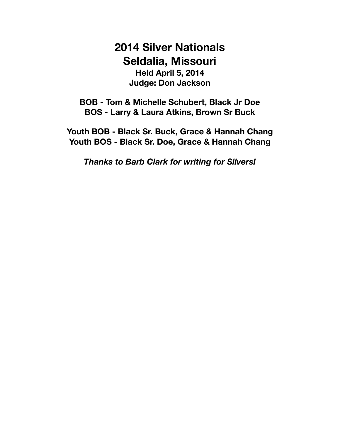## **2014 Silver Nationals Seldalia, Missouri**

**Held April 5, 2014 Judge: Don Jackson**

**BOB - Tom & Michelle Schubert, Black Jr Doe BOS - Larry & Laura Atkins, Brown Sr Buck**

**Youth BOB - Black Sr. Buck, Grace & Hannah Chang Youth BOS - Black Sr. Doe, Grace & Hannah Chang** 

*Thanks to Barb Clark for writing for Silvers!*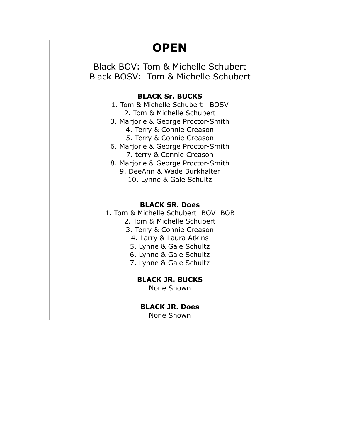## **OPEN**

Black BOV: Tom & Michelle Schubert Black BOSV: Tom & Michelle Schubert

## **BLACK Sr. BUCKS**

- 1. Tom & Michelle Schubert BOSV 2. Tom & Michelle Schubert 3. Marjorie & George Proctor-Smith 4. Terry & Connie Creason 5. Terry & Connie Creason 6. Marjorie & George Proctor-Smith 7. terry & Connie Creason 8. Marjorie & George Proctor-Smith
- 9. DeeAnn & Wade Burkhalter 10. Lynne & Gale Schultz

#### **BLACK SR. Does**

1. Tom & Michelle Schubert BOV BOB

- 2. Tom & Michelle Schubert
- 3. Terry & Connie Creason
	- 4. Larry & Laura Atkins
	- 5. Lynne & Gale Schultz
	- 6. Lynne & Gale Schultz
	- 7. Lynne & Gale Schultz

### **BLACK JR. BUCKS**

None Shown

#### **BLACK JR. Does**

None Shown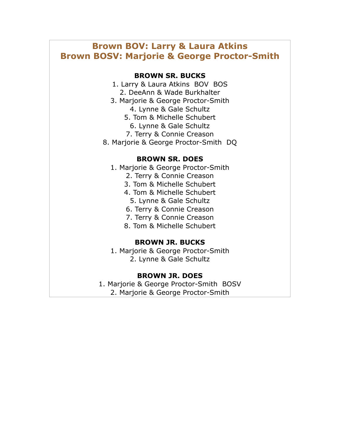## **Brown BOV: Larry & Laura Atkins Brown BOSV: Marjorie & George Proctor-Smith**

### **BROWN SR. BUCKS**

- 1. Larry & Laura Atkins BOV BOS 2. DeeAnn & Wade Burkhalter
- 3. Marjorie & George Proctor-Smith 4. Lynne & Gale Schultz 5. Tom & Michelle Schubert
	-
	- 6. Lynne & Gale Schultz 7. Terry & Connie Creason
- 8. Marjorie & George Proctor-Smith DQ
	-

## **BROWN SR. DOES**

- 1. Marjorie & George Proctor-Smith
	- 2. Terry & Connie Creason
	- 3. Tom & Michelle Schubert
	- 4. Tom & Michelle Schubert
		- 5. Lynne & Gale Schultz
	- 6. Terry & Connie Creason
	- 7. Terry & Connie Creason
	- 8. Tom & Michelle Schubert

#### **BROWN JR. BUCKS**

1. Marjorie & George Proctor-Smith 2. Lynne & Gale Schultz

### **BROWN JR. DOES**

1. Marjorie & George Proctor-Smith BOSV 2. Marjorie & George Proctor-Smith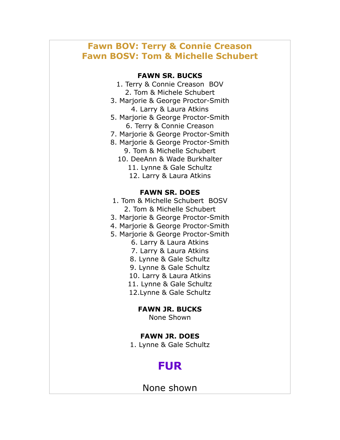## **Fawn BOV: Terry & Connie Creason Fawn BOSV: Tom & Michelle Schubert**

## **FAWN SR. BUCKS**

- 1. Terry & Connie Creason BOV 2. Tom & Michele Schubert
- 3. Marjorie & George Proctor-Smith 4. Larry & Laura Atkins
- 5. Marjorie & George Proctor-Smith 6. Terry & Connie Creason
- 7. Marjorie & George Proctor-Smith
- 8. Marjorie & George Proctor-Smith
	- 9. Tom & Michelle Schubert
	- 10. DeeAnn & Wade Burkhalter
		- 11. Lynne & Gale Schultz
		- 12. Larry & Laura Atkins

#### **FAWN SR. DOES**

- 1. Tom & Michelle Schubert BOSV 2. Tom & Michelle Schubert
- 3. Marjorie & George Proctor-Smith
- 4. Marjorie & George Proctor-Smith
- 5. Marjorie & George Proctor-Smith
	- 6. Larry & Laura Atkins
	- 7. Larry & Laura Atkins
	- 8. Lynne & Gale Schultz
	- 9. Lynne & Gale Schultz
	- 10. Larry & Laura Atkins
	- 11. Lynne & Gale Schultz
	- 12.Lynne & Gale Schultz

## **FAWN JR. BUCKS**

None Shown

## **FAWN JR. DOES**

1. Lynne & Gale Schultz

## **FUR**

## None shown